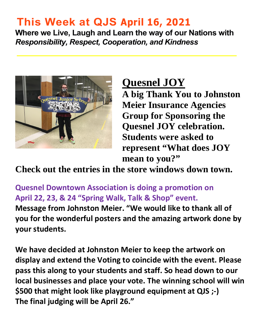# **This Week at QJS April 16, 2021**

**Where we Live, Laugh and Learn the way of our Nations with**  *Responsibility, Respect, Cooperation, and Kindness* 



# **Quesnel JOY**

**A big Thank You to Johnston Meier Insurance Agencies Group for Sponsoring the Quesnel JOY celebration. Students were asked to represent "What does JOY mean to you?"** 

**Check out the entries in the store windows down town.**

**Quesnel Downtown Association is doing a promotion on April 22, 23, & 24 "Spring Walk, Talk & Shop" event.**

**Message from Johnston Meier. "We would like to thank all of you for the wonderful posters and the amazing artwork done by your students.** 

**We have decided at Johnston Meier to keep the artwork on display and extend the Voting to coincide with the event. Please pass this along to your students and staff. So head down to our local businesses and place your vote. The winning school will win \$500 that might look like playground equipment at QJS ;-) The final judging will be April 26."**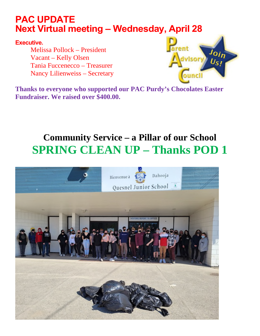# **PAC UPDATE Next Virtual meeting – Wednesday, April 28**

#### **Executive.**

Melissa Pollock – President Vacant – Kelly Olsen Tania Fuccenecco – Treasurer Nancy Lilienweiss – Secretary



**Thanks to everyone who supported our PAC Purdy's Chocolates Easter Fundraiser. We raised over \$400.00.** 

# **Community Service – a Pillar of our School SPRING CLEAN UP – Thanks POD 1**

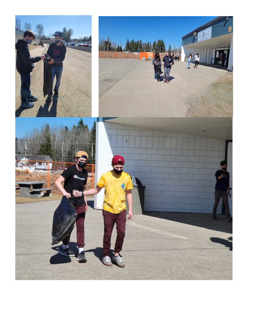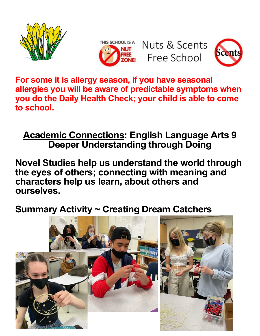



Nuts & Scents Free School



**For some it is allergy season, if you have seasonal allergies you will be aware of predictable symptoms when you do the Daily Health Check; your child is able to come to school.** 

# **Academic Connections: English Language Arts 9 Deeper Understanding through Doing**

**Novel Studies help us understand the world through the eyes of others; connecting with meaning and characters help us learn, about others and ourselves.** 

**Summary Activity ~ Creating Dream Catchers** 

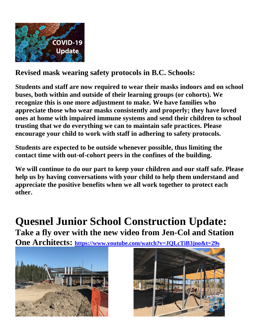

**Revised mask wearing safety protocols in B.C. Schools:** 

**Students and staff are now required to wear their masks indoors and on school buses, both within and outside of their learning groups (or cohorts). We recognize this is one more adjustment to make. We have families who appreciate those who wear masks consistently and properly; they have loved ones at home with impaired immune systems and send their children to school trusting that we do everything we can to maintain safe practices. Please encourage your child to work with staff in adhering to safety protocols.** 

**Students are expected to be outside whenever possible, thus limiting the contact time with out-of-cohort peers in the confines of the building.** 

**We will continue to do our part to keep your children and our staff safe. Please help us by having conversations with your child to help them understand and appreciate the positive benefits when we all work together to protect each other.** 

**Quesnel Junior School Construction Update: Take a fly over with the new video from Jen-Col and Station One Architects: <https://www.youtube.com/watch?v=JQLcTiB3jno&t=29s>**



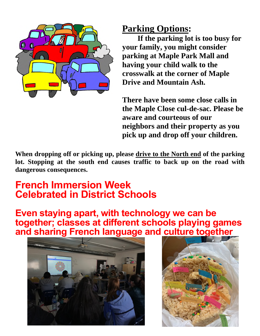

# **Parking Options:**

**If the parking lot is too busy for your family, you might consider parking at Maple Park Mall and having your child walk to the crosswalk at the corner of Maple Drive and Mountain Ash.** 

**There have been some close calls in the Maple Close cul-de-sac. Please be aware and courteous of our neighbors and their property as you pick up and drop off your children.** 

**When dropping off or picking up, please drive to the North end of the parking lot. Stopping at the south end causes traffic to back up on the road with dangerous consequences.** 

# **French Immersion Week Celebrated in District Schools**

**Even staying apart, with technology we can be together; classes at different schools playing games and sharing French language and culture together** 



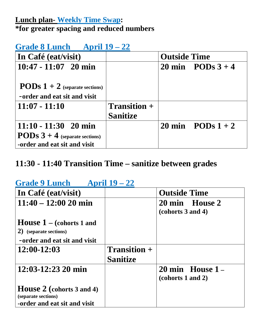### **Lunch plan- Weekly Time Swap: \*for greater spacing and reduced numbers**

### **Grade 8 Lunch April 19 – 22**

| In Café (eat/visit)                     |                 | <b>Outside Time</b> |                            |
|-----------------------------------------|-----------------|---------------------|----------------------------|
| $10:47 - 11:07$ 20 min                  |                 |                     | 20 min PODs $3+4$          |
|                                         |                 |                     |                            |
| <b>PODs</b> $1 + 2$ (separate sections) |                 |                     |                            |
| -order and eat sit and visit            |                 |                     |                            |
| $11:07 - 11:10$                         | $Transition +$  |                     |                            |
|                                         | <b>Sanitize</b> |                     |                            |
| $11:10 - 11:30$ 20 min                  |                 |                     | 20 min $\angle$ PODs 1 + 2 |
| <b>PODs</b> $3 + 4$ (separate sections) |                 |                     |                            |
| -order and eat sit and visit            |                 |                     |                            |

# **11:30 - 11:40 Transition Time – sanitize between grades**

### **Grade 9 Lunch April 19 – 22**

| In Café (eat/visit)                                                              |                                   | <b>Outside Time</b>                               |
|----------------------------------------------------------------------------------|-----------------------------------|---------------------------------------------------|
| $11:40 - 12:00 20$ min                                                           |                                   | 20 min House 2<br>(cohorts 3 and 4)               |
| <b>House 1</b> – (cohorts 1 and<br>2) (separate sections)                        |                                   |                                                   |
| -order and eat sit and visit                                                     |                                   |                                                   |
| $12:00-12:03$                                                                    | $Transition +$<br><b>Sanitize</b> |                                                   |
| $12:03 - 12:23$ 20 min                                                           |                                   | $20 \text{ min}$ House $1 -$<br>(cohorts 1 and 2) |
| House 2 (cohorts 3 and 4)<br>(separate sections)<br>-order and eat sit and visit |                                   |                                                   |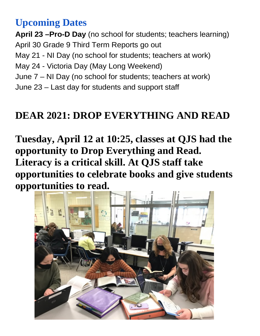# **Upcoming Dates**

**April 23 –Pro-D Day** (no school for students; teachers learning) April 30 Grade 9 Third Term Reports go out May 21 - NI Day (no school for students; teachers at work) May 24 - Victoria Day (May Long Weekend) June 7 – NI Day (no school for students; teachers at work) June 23 – Last day for students and support staff

# **DEAR 2021: DROP EVERYTHING AND READ**

**Tuesday, April 12 at 10:25, classes at QJS had the opportunity to Drop Everything and Read. Literacy is a critical skill. At QJS staff take opportunities to celebrate books and give students opportunities to read.** 

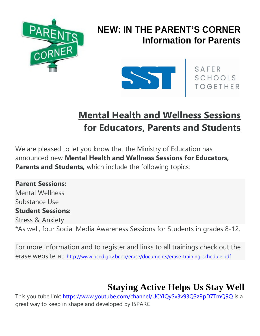

# **NEW: IN THE PARENT'S CORNER Information for Parents**



SAFER<br>SCHOOLS<br>TOGETHER

# **Mental Health and Wellness Sessions for Educators, Parents and Students**

We are pleased to let you know that the Ministry of Education has announced new **Mental Health and Wellness Sessions for Educators, Parents and Students, which include the following topics:** 

### **Parent Sessions:**

Mental Wellness Substance Use **Student Sessions:** Stress & Anxiety \*As well, four Social Media Awareness Sessions for Students in grades 8-12.

For more information and to register and links to all trainings check out the erase website at: <http://www.bced.gov.bc.ca/erase/documents/erase-training-schedule.pdf>

# **Staying Active Helps Us Stay Well**

This you tube link:<https://www.youtube.com/channel/UCYIQySv3v93Q3zRpD7TmQ9Q>is a great way to keep in shape and developed by ISPARC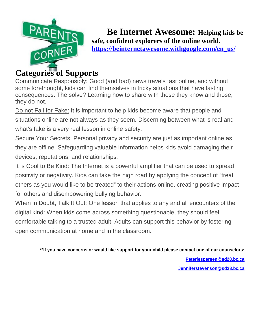

**Be Internet Awesome: Helping kids be safe, confident explorers of the online world. [https://beinternetawesome.withgoogle.com/en\\_us/](https://beinternetawesome.withgoogle.com/en_us/)** 

# **Categories of Supports**

Communicate Responsibly: Good (and bad) news travels fast online, and without some forethought, kids can find themselves in tricky situations that have lasting consequences. The solve? Learning how to share with those they know and those, they do not.

Do not Fall for Fake: It is important to help kids become aware that people and situations online are not always as they seem. Discerning between what is real and what's fake is a very real lesson in online safety.

Secure Your Secrets: Personal privacy and security are just as important online as they are offline. Safeguarding valuable information helps kids avoid damaging their devices, reputations, and relationships.

It is Cool to Be Kind: The Internet is a powerful amplifier that can be used to spread positivity or negativity. Kids can take the high road by applying the concept of "treat others as you would like to be treated" to their actions online, creating positive impact for others and disempowering bullying behavior.

When in Doubt, Talk It Out: One lesson that applies to any and all encounters of the digital kind: When kids come across something questionable, they should feel comfortable talking to a trusted adult. Adults can support this behavior by fostering open communication at home and in the classroom.

**\*\*If you have concerns or would like support for your child please contact one of our counselors:** 

**[Peterjespersen@sd28.bc.ca](mailto:Peterjespersen@sd28.bc.ca)**

**[Jenniferstevenson@sd28.bc.ca](mailto:Jenniferstevenson@sd28.bc.ca)**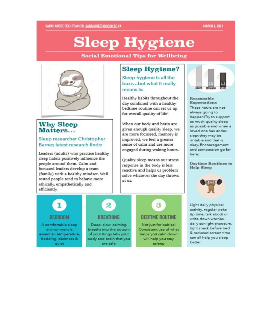#### **MARCH 4, 2021**

# **Sleep Hygiene**

**Social Emotional Tips for Wellbeing** 



#### **Why Sleep** Matters...

#### Sleep researcher Christopher Barnes latest research finds:

Leaders (adults) who practice healthy sleep habits positively influence the people around them. Calm and focussed leaders develop a team (family) with a healthy mindset. Well rested people tend to behave more ethically, empathetically and efficiently.

### **Sleep Hygiene?**

Sleep hygiene is all the buzz...but what it really means is:

Healthy habits throughout the day combined with a healthy bedtime routine can set us up for overall quality of life!

When our body and brain are given enough quality sleep, we are more focussed, memory is improved, we feel a greater sense of calm and are more engaged during waking hours.

Quality sleep means our stress response in the body is less reactive and helps us problem solve whatever the day throws at us.



Reasonable Expectations These hours are not always going to happenITry to support as much quality sleep as possible and when a loved one has underslept they may be irritable and that is okay. Encouragement and compassion go far here.

Daytime Routines to **Help Sleep** 



Light daily physical activity, regular wake up time, talk about or write down worries. daily sunlight exposure, light snack before bed & reduced screen time can all help you sleep better

#### **BEDROOM**

A comfortable sleep environment is essential: temperature, bedding, darkness & quiet

#### **BREATHING**

Deep, slow, calming breaths into the bottom of your lungs tells your body and brain that you are safe



#### **BEDTIME ROUTINE**

Not just for babies! Consistent use of what helps you calm down will help you stay qaelas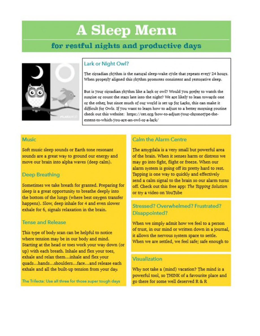# **A Sleep Menu**

### for restful nights and productive days



#### Lark or Night Owl?

The circadian rhythm is the natural sleep-wake cycle that repeats every 24 hours. When properly aligned this rhythm promotes consistent and restorative sleep.

But is your circadian rhythm like a lark or owl? Would you prefer to watch the sunrise or count the stars late into the night? We are likely to lean towards one or the other, but since much of our world is set up for Larks, this can make it difficult for Owls. If you want to learn how to adjust to a better morning routine check out this website: https://cet.org/how-to-adjust-your-chronotype-theextent-to-which-you-are-an-owl-or-a-lark/

#### **Music**

Soft music sleep sounds or Earth tone resonant sounds are a great way to ground our energy and move our brain into alpha waves (deep calm).

#### **Deep Breathing**

Sometimes we take breath for granted. Preparing for sleep is a great opportunity to breathe deeply into the bottom of the lungs (where best oxygen transfer happens). Slow, deep inhale for 4 and even slower exhale for 6, signals relaxation in the brain.

#### **Tense and Release**

This type of body scan can be helpful to notice where tension may be in our body and mind. Starting at the head or toes work your way down (or up) with each breath. Inhale and flex your toes, exhale and relax them...inhale and flex your quads...hands...shoulders...face...and release each exhale and all the built-up tension from your day.

The Trifecta: Use all three for those super tough days

#### **Calm the Alarm Centre**

The amygdala is a very small but powerful area of the brain. When it senses harm or distress we may go into fight, flight or freeze. When our alarm system is going off its pretty hard to rest. Tapping is one way to quickly and effectively send a calm signal to the brain so our alarm turns off. Check out this free app: The Tapping Solution or try a video on YouTube

#### Stressed? Overwhelmed? Frustrated? Disappointed?

When we simply admit how we feel to a person of trust, in our mind or written down in a journal, it allows the nervous system space to settle. When we are settled, we feel safe; safe enough to

#### Visualization

Why not take a (mind) vacation? The mind is a powerful tool, so THINK of a favourite place and go there for some well deserved R & R